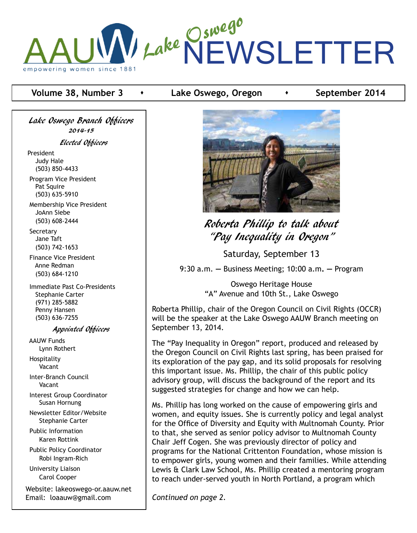

# **Volume 38, Number 3 •** Lake Oswego, Oregon **•** September 2014

Lake Oswego Branch Officers 2014-15 Elected Officers President Judy Hale (503) 850-4433 Program Vice President Pat Squire

 (503) 635-5910 Membership Vice President JoAnn Siebe (503) 608-2444

**Secretary**  Jane Taft (503) 742-1653

 Finance Vice President Anne Redman (503) 684-1210

 Immediate Past Co-Presidents Stephanie Carter (971) 285-5882 Penny Hansen (503) 636-7255

#### Appointed Officers

 AAUW Funds Lynn Rothert Hospitality Vacant

 Inter-Branch Council Vacant

 Interest Group Coordinator Susan Hornung

 Newsletter Editor/Website Stephanie Carter

 Public Information Karen Rottink

 Public Policy Coordinator Robi Ingram-Rich

 University Liaison Carol Cooper

Website: lakeoswego-or.aauw.net Email: loaauw@gmail.com



# Roberta Phillip to talk about "Pay Inequality in Oregon"

Saturday, September 13

9:30 a.m. **—** Business Meeting; 10:00 a.m**. —** Program

Oswego Heritage House "A" Avenue and 10th St., Lake Oswego

Roberta Phillip, chair of the Oregon Council on Civil Rights (OCCR) will be the speaker at the Lake Oswego AAUW Branch meeting on September 13, 2014.

The "Pay Inequality in Oregon" report, produced and released by the Oregon Council on Civil Rights last spring, has been praised for its exploration of the pay gap, and its solid proposals for resolving this important issue. Ms. Phillip, the chair of this public policy advisory group, will discuss the background of the report and its suggested strategies for change and how we can help.

Ms. Phillip has long worked on the cause of empowering girls and women, and equity issues. She is currently policy and legal analyst for the Office of Diversity and Equity with Multnomah County. Prior to that, she served as senior policy advisor to Multnomah County Chair Jeff Cogen. She was previously director of policy and programs for the National Crittenton Foundation, whose mission is to empower girls, young women and their families. While attending Lewis & Clark Law School, Ms. Phillip created a mentoring program to reach under-served youth in North Portland, a program which

*Continued on page 2.*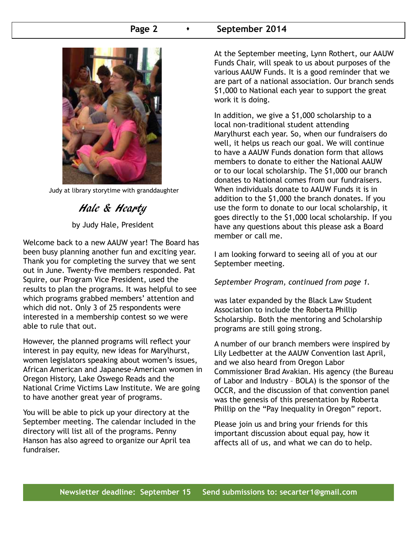## **Page 2 •** September 2014



Judy at library storytime with granddaughter

Hale & Hearty by Judy Hale, President

Welcome back to a new AAUW year! The Board has been busy planning another fun and exciting year. Thank you for completing the survey that we sent out in June. Twenty-five members responded. Pat Squire, our Program Vice President, used the results to plan the programs. It was helpful to see which programs grabbed members' attention and which did not. Only 3 of 25 respondents were interested in a membership contest so we were able to rule that out.

However, the planned programs will reflect your interest in pay equity, new ideas for Marylhurst, women legislators speaking about women's issues, African American and Japanese-American women in Oregon History, Lake Oswego Reads and the National Crime Victims Law Institute. We are going to have another great year of programs.

You will be able to pick up your directory at the September meeting. The calendar included in the directory will list all of the programs. Penny Hanson has also agreed to organize our April tea fundraiser.

At the September meeting, Lynn Rothert, our AAUW Funds Chair, will speak to us about purposes of the various AAUW Funds. It is a good reminder that we are part of a national association. Our branch sends \$1,000 to National each year to support the great work it is doing.

In addition, we give a \$1,000 scholarship to a local non-traditional student attending Marylhurst each year. So, when our fundraisers do well, it helps us reach our goal. We will continue to have a AAUW Funds donation form that allows members to donate to either the National AAUW or to our local scholarship. The \$1,000 our branch donates to National comes from our fundraisers. When individuals donate to AAUW Funds it is in addition to the \$1,000 the branch donates. If you use the form to donate to our local scholarship, it goes directly to the \$1,000 local scholarship. If you have any questions about this please ask a Board member or call me.

I am looking forward to seeing all of you at our September meeting.

*September Program, continued from page 1.*

was later expanded by the Black Law Student Association to include the Roberta Phillip Scholarship. Both the mentoring and Scholarship programs are still going strong.

A number of our branch members were inspired by Lily Ledbetter at the AAUW Convention last April, and we also heard from Oregon Labor Commissioner Brad Avakian. His agency (the Bureau of Labor and Industry – BOLA) is the sponsor of the OCCR, and the discussion of that convention panel was the genesis of this presentation by Roberta Phillip on the "Pay Inequality in Oregon" report.

Please join us and bring your friends for this important discussion about equal pay, how it affects all of us, and what we can do to help.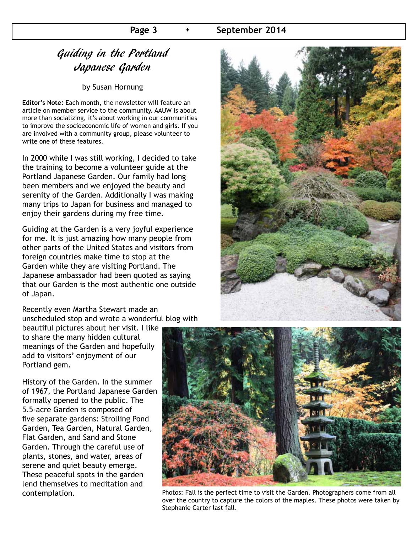## **Page 3 •** September 2014

# Guiding in the Portland Japanese Garden

by Susan Hornung

**Editor's Note:** Each month, the newsletter will feature an article on member service to the community. AAUW is about more than socializing, it's about working in our communities to improve the socioeconomic life of women and girls. If you are involved with a community group, please volunteer to write one of these features.

In 2000 while I was still working, I decided to take the training to become a volunteer guide at the Portland Japanese Garden. Our family had long been members and we enjoyed the beauty and serenity of the Garden. Additionally I was making many trips to Japan for business and managed to enjoy their gardens during my free time.

Guiding at the Garden is a very joyful experience for me. It is just amazing how many people from other parts of the United States and visitors from foreign countries make time to stop at the Garden while they are visiting Portland. The Japanese ambassador had been quoted as saying that our Garden is the most authentic one outside of Japan.

Recently even Martha Stewart made an unscheduled stop and wrote a wonderful blog with



beautiful pictures about her visit. I like to share the many hidden cultural meanings of the Garden and hopefully add to visitors' enjoyment of our Portland gem.

History of the Garden. In the summer of 1967, the Portland Japanese Garden formally opened to the public. The 5.5-acre Garden is composed of five separate gardens: Strolling Pond Garden, Tea Garden, Natural Garden, Flat Garden, and Sand and Stone Garden. Through the careful use of plants, stones, and water, areas of serene and quiet beauty emerge. These peaceful spots in the garden lend themselves to meditation and



contemplation. **Photos: Fall is the perfect time to visit the Garden. Photographers come from all** over the country to capture the colors of the maples. These photos were taken by Stephanie Carter last fall.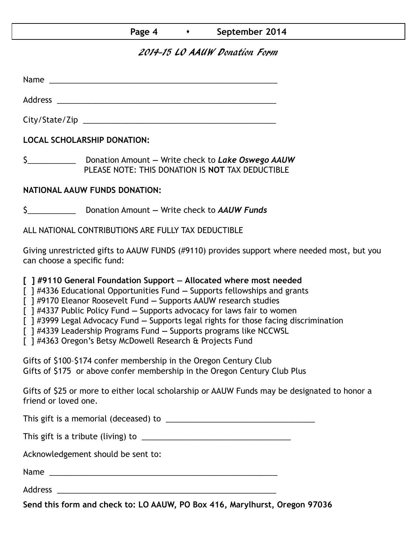# **Page 4 •** September 2014

# 2014-15 LO AAUW Donation Form

Name was also as a set of  $\sim$  10  $\mu$  m  $\sim$  10  $\mu$  m  $\sim$  10  $\mu$  m  $\sim$  10  $\mu$  m  $\sim$  10  $\mu$  m  $\sim$  10  $\mu$  m  $\sim$  10  $\mu$  m  $\sim$  10  $\mu$  m  $\sim$  10  $\mu$  m  $\sim$  10  $\mu$  m  $\sim$  10  $\mu$  m  $\sim$  10  $\mu$  m  $\sim$  10  $\mu$  m

Address \_\_\_\_\_\_\_\_\_\_\_\_\_\_\_\_\_\_\_\_\_\_\_\_\_\_\_\_\_\_\_\_\_\_\_\_\_\_\_\_\_\_\_\_\_\_\_\_\_\_

City/State/Zip 2000 and 2000 and 2000 and 2000 and 2000 and 2000 and 2000 and 2000 and 2000 and 200

**LOCAL SCHOLARSHIP DONATION:**

\$\_\_\_\_\_\_\_\_\_\_\_ Donation Amount **—** Write check to *Lake Oswego AAUW* PLEASE NOTE: THIS DONATION IS **NOT** TAX DEDUCTIBLE

## **NATIONAL AAUW FUNDS DONATION:**

\$\_\_\_\_\_\_\_\_\_\_\_ Donation Amount **—** Write check to *AAUW Funds*

ALL NATIONAL CONTRIBUTIONS ARE FULLY TAX DEDUCTIBLE

Giving unrestricted gifts to AAUW FUNDS (#9110) provides support where needed most, but you can choose a specific fund:

**[ ] #9110 General Foundation Support — Allocated where most needed** 

[ ] #4336 Educational Opportunities Fund **—** Supports fellowships and grants

[ ] #9170 Eleanor Roosevelt Fund **—** Supports AAUW research studies

[ ] #4337 Public Policy Fund **—** Supports advocacy for laws fair to women

[ ] #3999 Legal Advocacy Fund **—** Supports legal rights for those facing discrimination

[ ] #4339 Leadership Programs Fund **—** Supports programs like NCCWSL

[ ] #4363 Oregon's Betsy McDowell Research & Projects Fund

Gifts of \$100–\$174 confer membership in the Oregon Century Club Gifts of \$175 or above confer membership in the Oregon Century Club Plus

Gifts of \$25 or more to either local scholarship or AAUW Funds may be designated to honor a friend or loved one.

This gift is a memorial (deceased) to \_\_\_\_\_\_\_\_\_\_\_\_\_\_\_\_\_\_\_\_\_\_\_\_\_\_\_\_\_\_\_\_\_\_

This gift is a tribute (living) to \_\_\_\_\_\_\_\_\_\_\_\_\_\_\_\_\_\_\_\_\_\_\_\_\_\_\_\_\_\_\_\_\_\_

Acknowledgement should be sent to:

Name \_\_\_\_\_\_\_\_\_\_\_\_\_\_\_\_\_\_\_\_\_\_\_\_\_\_\_\_\_\_\_\_\_\_\_\_\_\_\_\_\_\_\_\_\_\_\_\_\_\_\_\_

Address \_\_\_\_\_\_\_\_\_\_\_\_\_\_\_\_\_\_\_\_\_\_\_\_\_\_\_\_\_\_\_\_\_\_\_\_\_\_\_\_\_\_\_\_\_\_\_\_\_\_

**Send this form and check to: LO AAUW, PO Box 416, Marylhurst, Oregon 97036**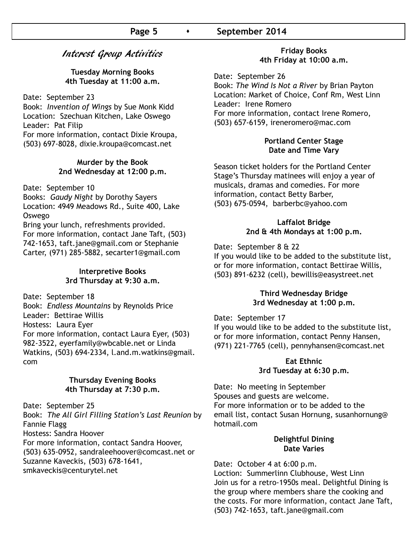# Interest Group Activities

**Tuesday Morning Books 4th Tuesday at 11:00 a.m.**

Date: September 23

Book: *Invention of Wings* by Sue Monk Kidd Location: Szechuan Kitchen, Lake Oswego Leader: Pat Filip For more information, contact Dixie Kroupa, (503) 697-8028, dixie.kroupa@comcast.net

#### **Murder by the Book 2nd Wednesday at 12:00 p.m.**

Date: September 10

Books: *Gaudy Night* by Dorothy Sayers Location: 4949 Meadows Rd., Suite 400, Lake Oswego

Bring your lunch, refreshments provided. For more information, contact Jane Taft, (503) 742-1653, taft.jane@gmail.com or Stephanie Carter, (971) 285-5882, secarter1@gmail.com

#### **Interpretive Books 3rd Thursday at 9:30 a.m.**

Date: September 18

Book: *Endless Mountains* by Reynolds Price Leader: Bettirae Willis Hostess: Laura Eyer For more information, contact Laura Eyer, (503) 982-3522, eyerfamily@wbcable.net or Linda Watkins, (503) 694-2334, l.and.m.watkins@gmail. com

#### **Thursday Evening Books 4th Thursday at 7:30 p.m.**

Date: September 25

Book: *The All Girl Filling Station's Last Reunion* by Fannie Flagg

Hostess: Sandra Hoover

For more information, contact Sandra Hoover, (503) 635-0952, sandraleehoover@comcast.net or Suzanne Kaveckis, (503) 678-1641,

smkaveckis@centurytel.net

#### **Friday Books 4th Friday at 10:00 a.m.**

Date: September 26 Book: *The Wind Is Not a River* by Brian Payton Location: Market of Choice, Conf Rm, West Linn Leader: Irene Romero For more information, contact Irene Romero, (503) 657-6159, ireneromero@mac.com

#### **Portland Center Stage Date and Time Vary**

Season ticket holders for the Portland Center Stage's Thursday matinees will enjoy a year of musicals, dramas and comedies. For more information, contact Betty Barber, (503) 675-0594, barberbc@yahoo.com

#### **Laffalot Bridge 2nd & 4th Mondays at 1:00 p.m.**

Date: September 8 & 22

If you would like to be added to the substitute list, or for more information, contact Bettirae Willis, (503) 891-6232 (cell), bewillis@easystreet.net

#### **Third Wednesday Bridge 3rd Wednesday at 1:00 p.m.**

Date: September 17

If you would like to be added to the substitute list, or for more information, contact Penny Hansen, (971) 221-7765 (cell), pennyhansen@comcast.net

## **Eat Ethnic 3rd Tuesday at 6:30 p.m.**

Date: No meeting in September Spouses and guests are welcome. For more information or to be added to the email list, contact Susan Hornung, susanhornung@ hotmail.com

#### **Delightful Dining Date Varies**

Date: October 4 at 6:00 p.m. Loction: Summerlinn Clubhouse, West Linn Join us for a retro-1950s meal. Delightful Dining is the group where members share the cooking and the costs. For more information, contact Jane Taft, (503) 742-1653, taft.jane@gmail.com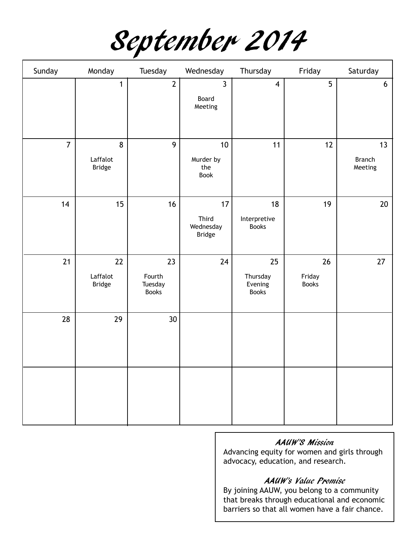September 2014

| Sunday         | Monday                          | Tuesday                                 | Wednesday                                 | Thursday                                  | Friday                       | Saturday                       |
|----------------|---------------------------------|-----------------------------------------|-------------------------------------------|-------------------------------------------|------------------------------|--------------------------------|
|                | $\mathbf{1}$                    | $\mathbf{2}$                            | $\mathbf{3}$<br>Board<br>Meeting          | $\overline{4}$                            | 5                            | $6\phantom{.}6$                |
| $\overline{7}$ | 8<br>Laffalot<br><b>Bridge</b>  | 9                                       | 10<br>Murder by<br>the<br>Book            | 11                                        | 12                           | 13<br><b>Branch</b><br>Meeting |
| 14             | 15                              | 16                                      | 17<br>Third<br>Wednesday<br><b>Bridge</b> | 18<br>Interpretive<br><b>Books</b>        | 19                           | 20                             |
| 21             | 22<br>Laffalot<br><b>Bridge</b> | 23<br>Fourth<br>Tuesday<br><b>Books</b> | 24                                        | 25<br>Thursday<br>Evening<br><b>Books</b> | 26<br>Friday<br><b>Books</b> | 27                             |
| 28             | 29                              | 30 <sup>°</sup>                         |                                           |                                           |                              |                                |
|                |                                 |                                         |                                           |                                           |                              |                                |

## AAUW'S Mission

Advancing equity for women and girls through advocacy, education, and research.

## AAUW's Value Promise

By joining AAUW, you belong to a community that breaks through educational and economic barriers so that all women have a fair chance.